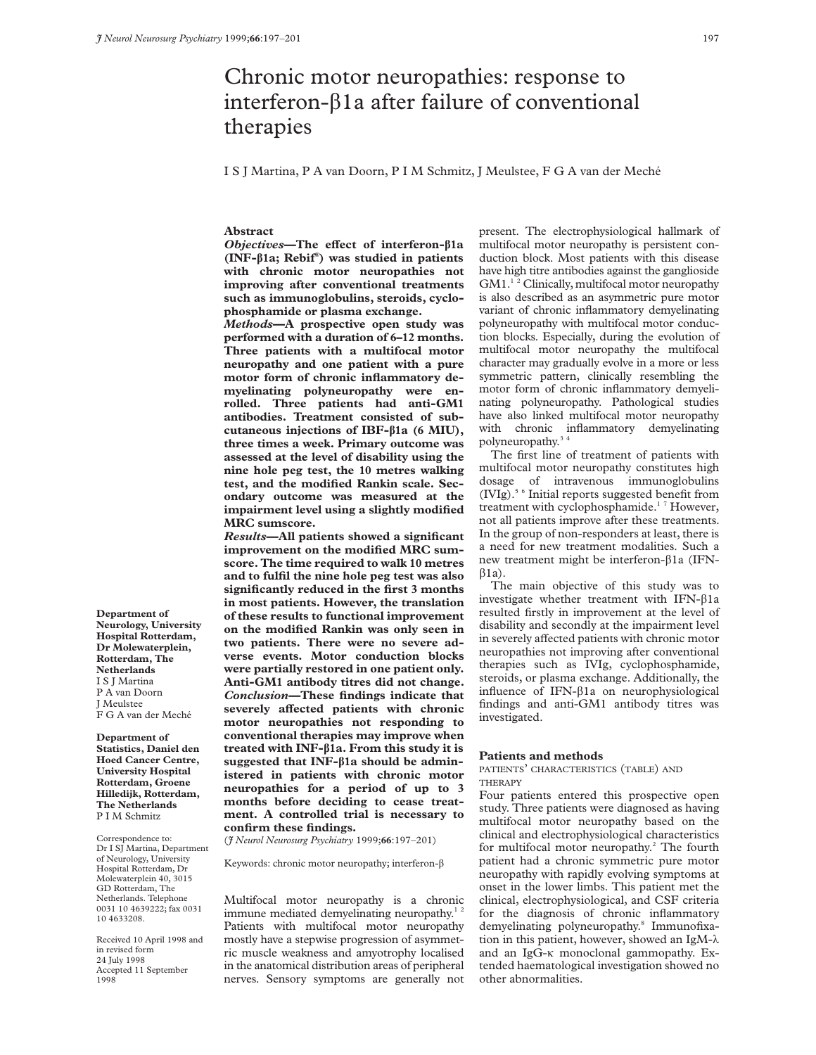# Chronic motor neuropathies: response to interferon- $\beta$ 1a after failure of conventional therapies

I S J Martina, P A van Doorn, P I M Schmitz, J Meulstee, F G A van der Meché

## **Abstract**

*Objectives***—The effect of interferon-β1a (INF-â1a; Rebif® ) was studied in patients with chronic motor neuropathies not improving after conventional treatments such as immunoglobulins, steroids, cyclophosphamide or plasma exchange.**

*Methods***—A prospective open study was performed with a duration of 6–12 months. Three patients with a multifocal motor neuropathy and one patient with a pure motor form of chronic inflammatory demyelinating polyneuropathy were enrolled. Three patients had anti-GM1 antibodies. Treatment consisted of subcutaneous injections of IBF-â1a (6 MIU), three times a week. Primary outcome was assessed at the level of disability using the nine hole peg test, the 10 metres walking test, and the modified Rankin scale. Secondary outcome was measured at the impairment level using a slightly modified MRC sumscore.**

*Results***—All patients showed a significant improvement on the modified MRC sumscore. The time required to walk 10 metres and to fulfil the nine hole peg test was also significantly reduced in the first 3 months in most patients. However, the translation of these results to functional improvement on the modified Rankin was only seen in two patients. There were no severe adverse events. Motor conduction blocks were partially restored in one patient only. Anti-GM1 antibody titres did not change.** *Conclusion—***These findings indicate that** severely affected patients with chronic **motor neuropathies not responding to conventional therapies may improve when treated with INF-â1a. From this study it is suggested that INF-â1a should be administered in patients with chronic motor neuropathies for a period of up to 3 months before deciding to cease treatment. A controlled trial is necessary to confirm these findings.**

(*J Neurol Neurosurg Psychiatry* 1999;**66**:197–201)

Keywords: chronic motor neuropathy; interferon- $\beta$ 

Multifocal motor neuropathy is a chronic immune mediated demyelinating neuropathy.<sup>12</sup> Patients with multifocal motor neuropathy mostly have a stepwise progression of asymmetric muscle weakness and amyotrophy localised in the anatomical distribution areas of peripheral nerves. Sensory symptoms are generally not

present. The electrophysiological hallmark of multifocal motor neuropathy is persistent conduction block. Most patients with this disease have high titre antibodies against the ganglioside GM1.<sup>12</sup> Clinically, multifocal motor neuropathy is also described as an asymmetric pure motor variant of chronic inflammatory demyelinating polyneuropathy with multifocal motor conduction blocks. Especially, during the evolution of multifocal motor neuropathy the multifocal character may gradually evolve in a more or less symmetric pattern, clinically resembling the motor form of chronic inflammatory demyelinating polyneuropathy. Pathological studies have also linked multifocal motor neuropathy with chronic inflammatory demyelinating polyneuropathy.3 4

The first line of treatment of patients with multifocal motor neuropathy constitutes high dosage of intravenous immunoglobulins (IVIg).5 6 Initial reports suggested benefit from treatment with cyclophosphamide.<sup>17</sup> However, not all patients improve after these treatments. In the group of non-responders at least, there is a need for new treatment modalities. Such a new treatment might be interferon-â1a (IFN- $\beta$ 1a).

The main objective of this study was to investigate whether treatment with IFN- $\beta$ 1a resulted firstly in improvement at the level of disability and secondly at the impairment level in severely affected patients with chronic motor neuropathies not improving after conventional therapies such as IVIg, cyclophosphamide, steroids, or plasma exchange. Additionally, the influence of IFN- $\beta$ 1a on neurophysiological findings and anti-GM1 antibody titres was investigated.

# **Patients and methods**

# PATIENTS' CHARACTERISTICS (TABLE) AND THERAPY

Four patients entered this prospective open study. Three patients were diagnosed as having multifocal motor neuropathy based on the clinical and electrophysiological characteristics for multifocal motor neuropathy.<sup>2</sup> The fourth patient had a chronic symmetric pure motor neuropathy with rapidly evolving symptoms at onset in the lower limbs. This patient met the clinical, electrophysiological, and CSF criteria for the diagnosis of chronic inflammatory demyelinating polyneuropathy.<sup>8</sup> Immunofixation in this patient, however, showed an IgM- $\lambda$ and an IgG- $\kappa$  monoclonal gammopathy. Extended haematological investigation showed no other abnormalities.

**Department of Neurology, University Hospital Rotterdam, Dr Molewaterplein, Rotterdam, The Netherlands** I S J Martina P A van Doorn J Meulstee F G A van der Meché

**Department of Statistics, Daniel den Hoed Cancer Centre, University Hospital Rotterdam, Groene Hilledijk, Rotterdam, The Netherlands** P I M Schmitz

Correspondence to: Dr I SI Martina, Department of Neurology, University Hospital Rotterdam, Dr Molewaterplein 40, 3015 GD Rotterdam, The Netherlands. Telephone 0031 10 4639222; fax 0031 10 4633208.

Received 10 April 1998 and in revised form 24 July 1998 Accepted 11 September 1008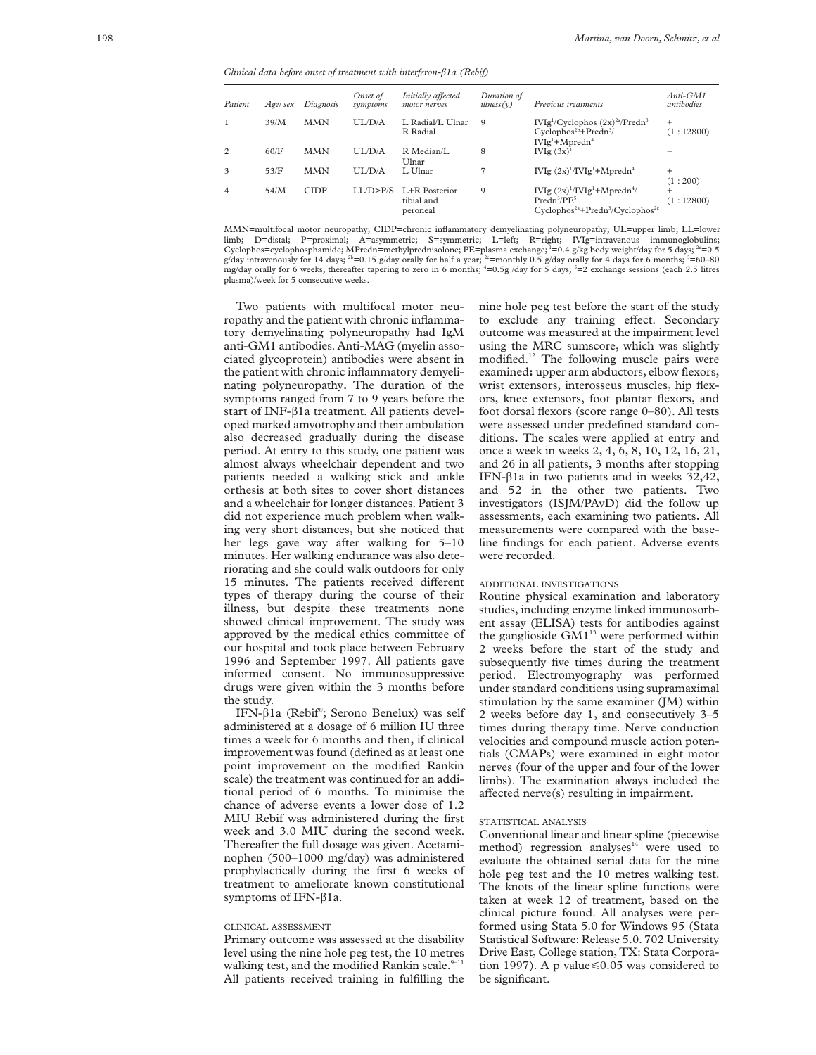*Clinical data before onset of treatment with interferon-â1a (Rebif)*

| Patient        | Agel sex | Diagnosis   | Onset of<br>symptoms | Initially affected<br>motor nerves      | Duration of<br>illness(v) | Previous treatments                                                                                             | $Anti-GM1$<br>antibodies |
|----------------|----------|-------------|----------------------|-----------------------------------------|---------------------------|-----------------------------------------------------------------------------------------------------------------|--------------------------|
|                | 39/M     | <b>MMN</b>  | UL/D/A               | L. Radial/L. Ulnar<br>R Radial          | 9                         | $IVIg1/Cyclophos (2x)2a/Predn3$<br>$Cyclophos2b + Predn3/$<br>$IVIg1+Mpredn4$                                   | $\ddot{}$<br>(1:12800)   |
| $\overline{2}$ | 60/F     | <b>MMN</b>  | <b>UL/D/A</b>        | R Median/L<br>Ulnar                     | 8                         | IVIg $(3x)^1$                                                                                                   |                          |
| 3              | 53/F     | MMN         | <b>UL/D/A</b>        | L Ulnar                                 |                           | IVIg $(2x)^{1}/IVIg^{1}+M$ predn <sup>4</sup>                                                                   | $\ddot{}$<br>(1:200)     |
| $\overline{4}$ | 54/M     | <b>CIDP</b> | LLD > P/S            | L+R Posterior<br>tibial and<br>peroneal | 9                         | IVIg $(2x)^{1}/IVIg^{1}+Mpredn^{4}/$<br>Predn <sup>3</sup> /PE <sup>5</sup><br>$Cyclophos2a+Predn3/Cyclophos2c$ | $\ddot{}$<br>(1:12800)   |

MMN=multifocal motor neuropathy; CIDP=chronic inflammatory demyelinating polyneuropathy; UL=upper limb; LL=lower limb; D=distal; P=proximal; A=asymmetric; S=symmetric; L=left; R=right; IVIg=intravenous immunoglobulins; Cyclophos=cyclophosphamide; MPredn=methylprednisolone; PE=plasma exchange; <sup>1</sup>=0.4 g/kg body weight/day for 5 days; <sup>2a</sup>=0.5 g/day intravenously for 14 days;  $^{2b}=0.15$  g/day orally for half a year;  $^{2c}=$ monthly 0.5 g/day orally for 4 days for 6 months;  $^{3}=60-80$ mg/day orally for 6 weeks, thereafter tapering to zero in 6 months;  $4=0.5g$  /day for 5 days;  $5=2$  exchange sessions (each 2.5 litres plasma)/week for 5 consecutive weeks.

Two patients with multifocal motor neuropathy and the patient with chronic inflammatory demyelinating polyneuropathy had IgM anti-GM1 antibodies. Anti-MAG (myelin associated glycoprotein) antibodies were absent in the patient with chronic inflammatory demyelinating polyneuropathy**.** The duration of the symptoms ranged from 7 to 9 years before the start of INF- $\beta$ 1a treatment. All patients developed marked amyotrophy and their ambulation also decreased gradually during the disease period. At entry to this study, one patient was almost always wheelchair dependent and two patients needed a walking stick and ankle orthesis at both sites to cover short distances and a wheelchair for longer distances. Patient 3 did not experience much problem when walking very short distances, but she noticed that her legs gave way after walking for 5–10 minutes. Her walking endurance was also deteriorating and she could walk outdoors for only 15 minutes. The patients received different types of therapy during the course of their illness, but despite these treatments none showed clinical improvement. The study was approved by the medical ethics committee of our hospital and took place between February 1996 and September 1997. All patients gave informed consent. No immunosuppressive drugs were given within the 3 months before the study.

IFN-â1a (Rebif® ; Serono Benelux) was self administered at a dosage of 6 million IU three times a week for 6 months and then, if clinical improvement was found (defined as at least one point improvement on the modified Rankin scale) the treatment was continued for an additional period of 6 months. To minimise the chance of adverse events a lower dose of 1.2 MIU Rebif was administered during the first week and 3.0 MIU during the second week. Thereafter the full dosage was given. Acetaminophen (500–1000 mg/day) was administered prophylactically during the first 6 weeks of treatment to ameliorate known constitutional symptoms of IFN- $\beta$ 1a.

#### CLINICAL ASSESSMENT

Primary outcome was assessed at the disability level using the nine hole peg test, the 10 metres walking test, and the modified Rankin scale. $9-11$ All patients received training in fulfilling the nine hole peg test before the start of the study to exclude any training effect. Secondary outcome was measured at the impairment level using the MRC sumscore, which was slightly modified.<sup>12</sup> The following muscle pairs were examined**:** upper arm abductors, elbow flexors, wrist extensors, interosseus muscles, hip flexors, knee extensors, foot plantar flexors, and foot dorsal flexors (score range 0–80). All tests were assessed under predefined standard conditions**.** The scales were applied at entry and once a week in weeks 2, 4, 6, 8, 10, 12, 16, 21, and 26 in all patients, 3 months after stopping IFN- $\beta$ 1a in two patients and in weeks 32,42, and 52 in the other two patients. Two investigators (ISJM/PAvD) did the follow up assessments, each examining two patients**.** All measurements were compared with the baseline findings for each patient. Adverse events were recorded.

## ADDITIONAL INVESTIGATIONS

Routine physical examination and laboratory studies, including enzyme linked immunosorbent assay (ELISA) tests for antibodies against the ganglioside  $GM1^{13}$  were performed within 2 weeks before the start of the study and subsequently five times during the treatment period. Electromyography was performed under standard conditions using supramaximal stimulation by the same examiner (JM) within 2 weeks before day 1, and consecutively 3–5 times during therapy time. Nerve conduction velocities and compound muscle action potentials (CMAPs) were examined in eight motor nerves (four of the upper and four of the lower limbs). The examination always included the affected nerve(s) resulting in impairment.

#### STATISTICAL ANALYSIS

Conventional linear and linear spline (piecewise method) regression analyses $14$  were used to evaluate the obtained serial data for the nine hole peg test and the 10 metres walking test. The knots of the linear spline functions were taken at week 12 of treatment, based on the clinical picture found. All analyses were performed using Stata 5.0 for Windows 95 (Stata Statistical Software: Release 5.0. 702 University Drive East, College station, TX: Stata Corporation 1997). A p value  $\leq 0.05$  was considered to be significant.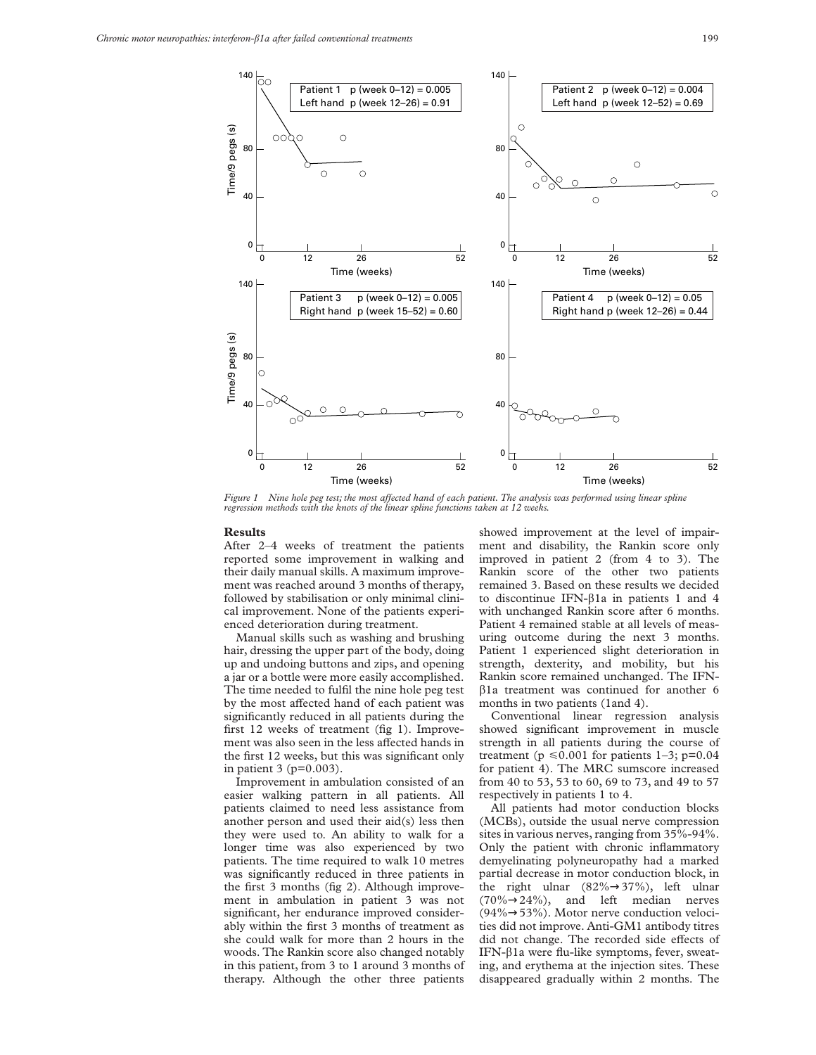

*Figure 1* Nine hole peg test; the most affected hand of each patient. The analysis was performed using linear spline *regression methods with the knots of the linear spline functions taken at 12 weeks.*

#### **Results**

After 2–4 weeks of treatment the patients reported some improvement in walking and their daily manual skills. A maximum improvement was reached around 3 months of therapy, followed by stabilisation or only minimal clinical improvement. None of the patients experienced deterioration during treatment.

Manual skills such as washing and brushing hair, dressing the upper part of the body, doing up and undoing buttons and zips, and opening a jar or a bottle were more easily accomplished. The time needed to fulfil the nine hole peg test by the most affected hand of each patient was significantly reduced in all patients during the first 12 weeks of treatment (fig 1). Improvement was also seen in the less affected hands in the first 12 weeks, but this was significant only in patient 3 (p=0.003).

Improvement in ambulation consisted of an easier walking pattern in all patients. All patients claimed to need less assistance from another person and used their aid(s) less then they were used to. An ability to walk for a longer time was also experienced by two patients. The time required to walk 10 metres was significantly reduced in three patients in the first 3 months (fig 2). Although improvement in ambulation in patient 3 was not significant, her endurance improved considerably within the first 3 months of treatment as she could walk for more than 2 hours in the woods. The Rankin score also changed notably in this patient, from 3 to 1 around 3 months of therapy. Although the other three patients

showed improvement at the level of impairment and disability, the Rankin score only improved in patient 2 (from 4 to 3). The Rankin score of the other two patients remained 3. Based on these results we decided to discontinue IFN- $\beta$ 1a in patients 1 and 4 with unchanged Rankin score after 6 months. Patient 4 remained stable at all levels of measuring outcome during the next 3 months. Patient 1 experienced slight deterioration in strength, dexterity, and mobility, but his Rankin score remained unchanged. The IFN- $\beta$ 1a treatment was continued for another 6 months in two patients (1and 4).

Conventional linear regression analysis showed significant improvement in muscle strength in all patients during the course of treatment ( $p \le 0.001$  for patients 1–3;  $p=0.04$ for patient 4). The MRC sumscore increased from 40 to 53, 53 to 60, 69 to 73, and 49 to 57 respectively in patients 1 to 4.

All patients had motor conduction blocks (MCBs), outside the usual nerve compression sites in various nerves, ranging from 35%-94%. Only the patient with chronic inflammatory demyelinating polyneuropathy had a marked partial decrease in motor conduction block, in the right ulnar (82%→37%), left ulnar  $(70\% \rightarrow 24\%)$ , and left median nerves (94%→53%). Motor nerve conduction velocities did not improve. Anti-GM1 antibody titres did not change. The recorded side effects of IFN- $\beta$ 1a were flu-like symptoms, fever, sweating, and erythema at the injection sites. These disappeared gradually within 2 months. The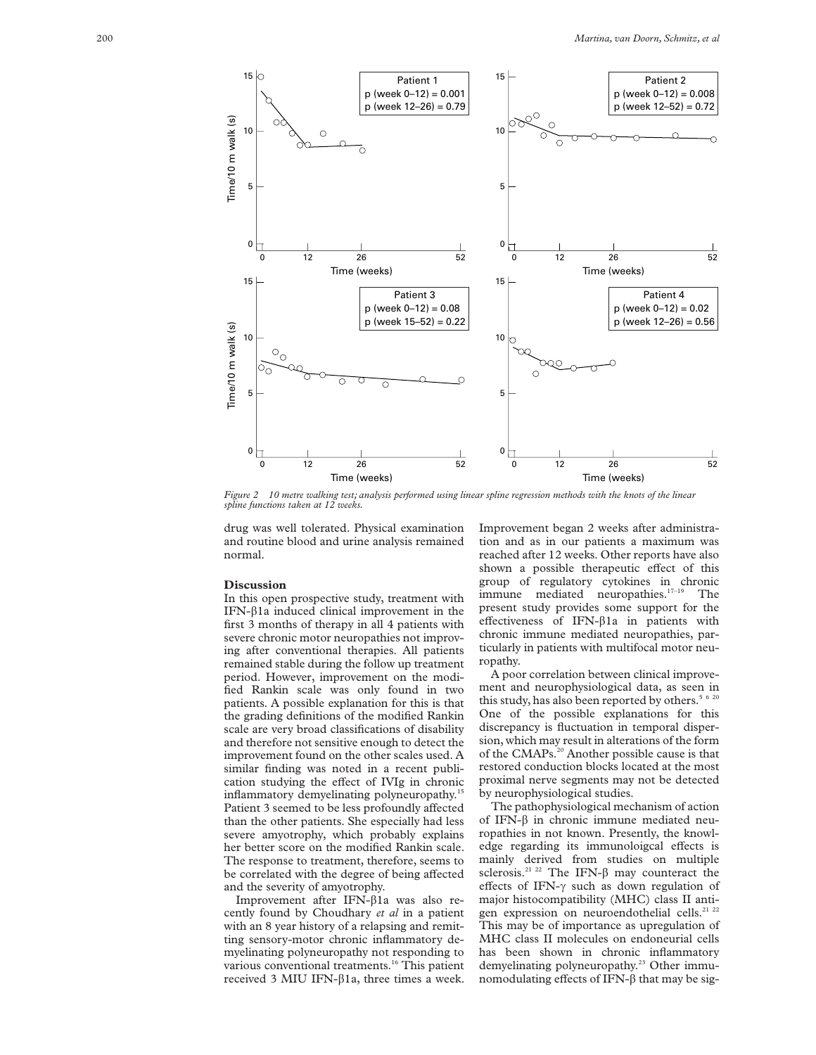

*Figure 2 10 metre walking test; analysis performed using linear spline regression methods with the knots of the linear spline functions taken at 12 weeks.*

drug was well tolerated. Physical examination and routine blood and urine analysis remained normal.

#### **Discussion**

In this open prospective study, treatment with IFN- $\beta$ 1a induced clinical improvement in the first 3 months of therapy in all 4 patients with severe chronic motor neuropathies not improving after conventional therapies. All patients remained stable during the follow up treatment period. However, improvement on the modified Rankin scale was only found in two patients. A possible explanation for this is that the grading definitions of the modified Rankin scale are very broad classifications of disability and therefore not sensitive enough to detect the improvement found on the other scales used. A similar finding was noted in a recent publication studying the effect of IVIg in chronic inflammatory demyelinating polyneuropathy.<sup>15</sup> Patient 3 seemed to be less profoundly affected than the other patients. She especially had less severe amyotrophy, which probably explains her better score on the modified Rankin scale. The response to treatment, therefore, seems to be correlated with the degree of being affected and the severity of amyotrophy.

Improvement after IFN- $\beta$ 1a was also recently found by Choudhary *et al* in a patient with an 8 year history of a relapsing and remitting sensory-motor chronic inflammatory demyelinating polyneuropathy not responding to various conventional treatments.<sup>16</sup> This patient received 3 MIU IFN- $\beta$ 1a, three times a week. Improvement began 2 weeks after administration and as in our patients a maximum was reached after 12 weeks. Other reports have also shown a possible therapeutic effect of this group of regulatory cytokines in chronic immune mediated neuropathies.<sup>17-19</sup> The present study provides some support for the effectiveness of IFN- $\beta$ 1a in patients with chronic immune mediated neuropathies, particularly in patients with multifocal motor neuropathy.

A poor correlation between clinical improvement and neurophysiological data, as seen in this study, has also been reported by others.<sup>5 6 20</sup> One of the possible explanations for this discrepancy is fluctuation in temporal dispersion, which may result in alterations of the form of the CMAPs.<sup>20</sup> Another possible cause is that restored conduction blocks located at the most proximal nerve segments may not be detected by neurophysiological studies.

The pathophysiological mechanism of action of IFN- $\beta$  in chronic immune mediated neuropathies in not known. Presently, the knowledge regarding its immunoloigcal effects is mainly derived from studies on multiple sclerosis.<sup>21 22</sup> The IFN- $\beta$  may counteract the effects of IFN- $\gamma$  such as down regulation of major histocompatibility (MHC) class II antigen expression on neuroendothelial cells.<sup>21 22</sup> This may be of importance as upregulation of MHC class II molecules on endoneurial cells has been shown in chronic inflammatory demyelinating polyneuropathy.<sup>23</sup> Other immunomodulating effects of IFN- $\beta$  that may be sig